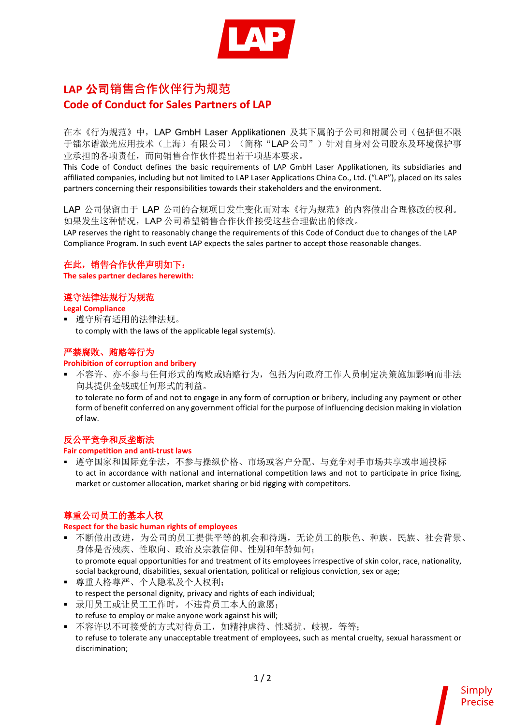

# **LAP** 公司**销售合作伙伴行为规范 Code of Conduct for Sales Partners of LAP**

在本《行为规范》中,LAP GmbH Laser Applikationen 及其下属的子公司和附属公司(包括但不限 于镭尔谱激光应用技术(上海)有限公司)(简称"LAP公司")针对自身对公司股东及环境保护事 业承担的各项责任,而向销售合作伙伴提出若干项基本要求。

This Code of Conduct defines the basic requirements of LAP GmbH Laser Applikationen, its subsidiaries and affiliated companies, including but not limited to LAP Laser Applications China Co., Ltd. ("LAP"), placed on its sales partners concerning their responsibilities towards their stakeholders and the environment.

LAP 公司保留由于 LAP 公司的合规项目发生变化而对本《行为规范》的内容做出合理修改的权利。 如果发生这种情况,LAP 公司希望销售合作伙伴接受这些合理做出的修改。

LAP reserves the right to reasonably change the requirements of this Code of Conduct due to changes of the LAP Compliance Program. In such event LAP expects the sales partner to accept those reasonable changes.

# 在此,销售合作伙伴声明如下:

**The sales partner declares herewith:** 

## 遵守法律法规行为规范

#### **Legal Compliance**

 遵守所有适用的法律法规。 to comply with the laws of the applicable legal system(s).

# 严禁腐败、贿赂等行为

#### **Prohibition of corruption and bribery**

 不容许、亦不参与任何形式的腐败或贿赂行为,包括为向政府工作人员制定决策施加影响而非法 向其提供金钱或任何形式的利益。 to tolerate no form of and not to engage in any form of corruption or bribery, including any payment or other form of benefit conferred on any government official for the purpose of influencing decision making in violation of law.

# 反公平竞争和反垄断法

#### **Fair competition and anti-trust laws**

 遵守国家和国际竞争法,不参与操纵价格、市场或客户分配、与竞争对手市场共享或串通投标 to act in accordance with national and international competition laws and not to participate in price fixing, market or customer allocation, market sharing or bid rigging with competitors.

# 尊重公司员工的基本人权

#### **Respect for the basic human rights of employees**

- 不断做出改进,为公司的员工提供平等的机会和待遇,无论员工的肤色、种族、民族、社会背景、 身体是否残疾、性取向、政治及宗教信仰、性别和年龄如何; to promote equal opportunities for and treatment of its employees irrespective of skin color, race, nationality, social background, disabilities, sexual orientation, political or religious conviction, sex or age;
- 尊重人格尊严、个人隐私及个人权利; to respect the personal dignity, privacy and rights of each individual;
- 录用员工或让员工工作时,不违背员工本人的意愿; to refuse to employ or make anyone work against his will;
- 不容许以不可接受的方式对待员工,如精神虐待、性骚扰、歧视,等等; to refuse to tolerate any unacceptable treatment of employees, such as mental cruelty, sexual harassment or discrimination;